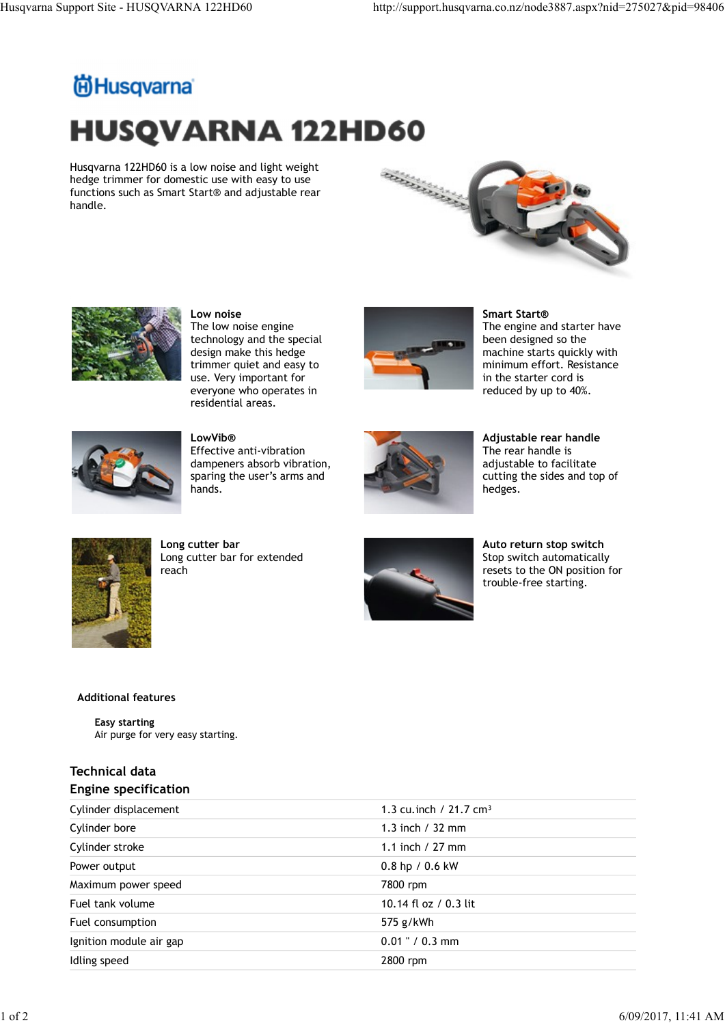## Husqvarna Support Site - HUSQVARNA 122HD60 http://support.husqvarna.co.nz/node3887.aspx?nid=275027&pid=98406<br>http://support.husqvarna.co.nz/node3887.aspx?nid=275027&pid=98406<br>**http://support**.husqvarna.co.nz/node3887.aspx? **HUSQVARNA 122HD60**

Husqvarna 122HD60 is a low noise and light weight<br>hedge trimmer for domestic use with easy to use<br> $55 \times 10^{-3}$  and adjustable rear hedge trimmer for domestic use with easy to use functions such as Smart Start® and adjustable rear handle.





Low noise The low noise engine technology and the special design make this hedge trimmer quiet and easy to use. Very important for everyone who operates in residential areas.



Smart Start® The engine and starter have been designed so the machine starts quickly with minimum effort. Resistance in the starter cord is reduced by up to 40%.



LowVib® Effective anti-vibration dampeners absorb vibration, sparing the user's arms and hands.



Adjustable rear handle The rear handle is adjustable to facilitate cutting the sides and top of hedges.



Long cutter bar Long cutter bar for extended reach and the contract of the contract of the contract of the contract of the contract of the contract of the contract of the contract of the contract of the contract of the contract of the contract of the contract of the



Auto return stop switch Stop switch automatically resets to the ON position for trouble-free starting.

## Additional features

## Technical data

|  | <b>Engine specification</b> |  |  |  |
|--|-----------------------------|--|--|--|
|--|-----------------------------|--|--|--|

|                                                      |                                                          |                                    | ncuges.                                                                                                         |  |
|------------------------------------------------------|----------------------------------------------------------|------------------------------------|-----------------------------------------------------------------------------------------------------------------|--|
|                                                      | Long cutter bar<br>Long cutter bar for extended<br>reach |                                    | Auto return stop switch<br>Stop switch automatically<br>resets to the ON position for<br>trouble-free starting. |  |
| <b>Additional features</b>                           |                                                          |                                    |                                                                                                                 |  |
| <b>Easy starting</b>                                 | Air purge for very easy starting.                        |                                    |                                                                                                                 |  |
| <b>Technical data</b><br><b>Engine specification</b> |                                                          |                                    |                                                                                                                 |  |
| Cylinder displacement                                |                                                          | 1.3 cu.inch / 21.7 cm <sup>3</sup> |                                                                                                                 |  |
| Cylinder bore                                        |                                                          | 1.3 inch / 32 mm                   |                                                                                                                 |  |
| Cylinder stroke                                      |                                                          | 1.1 inch / 27 mm                   |                                                                                                                 |  |
| Power output                                         |                                                          | 0.8 hp / 0.6 kW                    |                                                                                                                 |  |
| Maximum power speed                                  |                                                          | 7800 rpm                           |                                                                                                                 |  |
| Fuel tank volume                                     |                                                          | 10.14 fl oz / 0.3 lit              |                                                                                                                 |  |
| Fuel consumption                                     |                                                          | 575 g/kWh                          |                                                                                                                 |  |
| Ignition module air gap                              |                                                          | $0.01$ " / 0.3 mm                  |                                                                                                                 |  |
| Idling speed                                         |                                                          | 2800 rpm                           |                                                                                                                 |  |